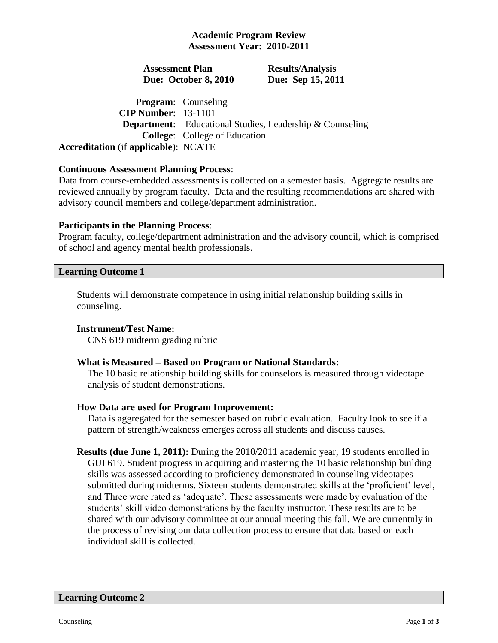## **Academic Program Review Assessment Year: 2010-2011**

## **Assessment Plan Due: October 8, 2010**

**Results/Analysis Due: Sep 15, 2011**

**Program**: Counseling **CIP Number**: 13-1101 **Department**: Educational Studies, Leadership & Counseling **College**: College of Education **Accreditation** (if **applicable**): NCATE

## **Continuous Assessment Planning Process**:

Data from course-embedded assessments is collected on a semester basis. Aggregate results are reviewed annually by program faculty. Data and the resulting recommendations are shared with advisory council members and college/department administration.

## **Participants in the Planning Process**:

Program faculty, college/department administration and the advisory council, which is comprised of school and agency mental health professionals.

## **Learning Outcome 1**

Students will demonstrate competence in using initial relationship building skills in counseling.

## **Instrument/Test Name:**

CNS 619 midterm grading rubric

## **What is Measured – Based on Program or National Standards:**

The 10 basic relationship building skills for counselors is measured through videotape analysis of student demonstrations.

## **How Data are used for Program Improvement:**

Data is aggregated for the semester based on rubric evaluation. Faculty look to see if a pattern of strength/weakness emerges across all students and discuss causes.

**Results (due June 1, 2011):** During the 2010/2011 academic year, 19 students enrolled in GUI 619. Student progress in acquiring and mastering the 10 basic relationship building skills was assessed according to proficiency demonstrated in counseling videotapes submitted during midterms. Sixteen students demonstrated skills at the 'proficient' level, and Three were rated as 'adequate'. These assessments were made by evaluation of the students' skill video demonstrations by the faculty instructor. These results are to be shared with our advisory committee at our annual meeting this fall. We are currentnly in the process of revising our data collection process to ensure that data based on each individual skill is collected.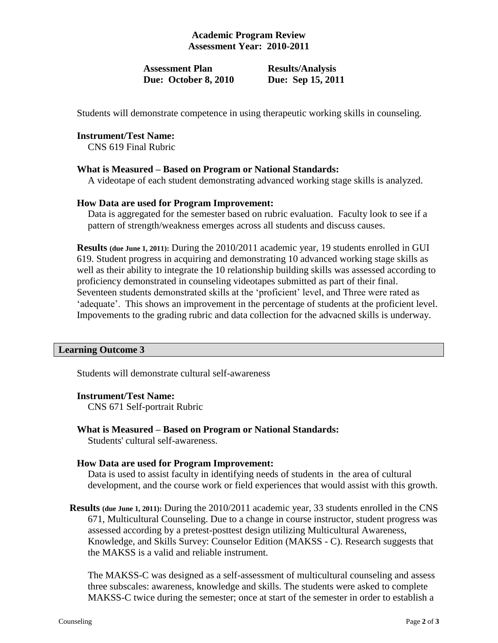# **Academic Program Review Assessment Year: 2010-2011**

## **Assessment Plan Due: October 8, 2010**

**Results/Analysis Due: Sep 15, 2011**

Students will demonstrate competence in using therapeutic working skills in counseling.

#### **Instrument/Test Name:**

CNS 619 Final Rubric

#### **What is Measured – Based on Program or National Standards:**

A videotape of each student demonstrating advanced working stage skills is analyzed.

#### **How Data are used for Program Improvement:**

Data is aggregated for the semester based on rubric evaluation. Faculty look to see if a pattern of strength/weakness emerges across all students and discuss causes.

**Results (due June 1, 2011):** During the 2010/2011 academic year, 19 students enrolled in GUI 619. Student progress in acquiring and demonstrating 10 advanced working stage skills as well as their ability to integrate the 10 relationship building skills was assessed according to proficiency demonstrated in counseling videotapes submitted as part of their final. Seventeen students demonstrated skills at the 'proficient' level, and Three were rated as 'adequate'. This shows an improvement in the percentage of students at the proficient level. Impovements to the grading rubric and data collection for the advacned skills is underway.

#### **Learning Outcome 3**

Students will demonstrate cultural self-awareness

#### **Instrument/Test Name:**

CNS 671 Self-portrait Rubric

**What is Measured – Based on Program or National Standards:**

Students' cultural self-awareness.

## **How Data are used for Program Improvement:**

Data is used to assist faculty in identifying needs of students in the area of cultural development, and the course work or field experiences that would assist with this growth.

**Results (due June 1, 2011):** During the 2010/2011 academic year, 33 students enrolled in the CNS 671, Multicultural Counseling. Due to a change in course instructor, student progress was assessed according by a pretest-posttest design utilizing Multicultural Awareness, Knowledge, and Skills Survey: Counselor Edition (MAKSS - C). Research suggests that the MAKSS is a valid and reliable instrument.

The MAKSS-C was designed as a self-assessment of multicultural counseling and assess three subscales: awareness, knowledge and skills. The students were asked to complete MAKSS-C twice during the semester; once at start of the semester in order to establish a